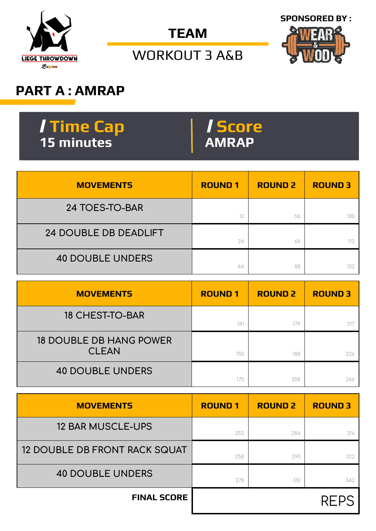

**TEAM**



WORKOUT 3 A&B

## **PART A : AMRAP**

| <b>Time Cap</b> | <i>Score</i> |
|-----------------|--------------|
| A 15 minutes '  | <b>AMRAP</b> |

| <b>MOVEMENTS</b>             | <b>ROUND1</b> | <b>ROUND 2</b> | <b>ROUND 3</b> |
|------------------------------|---------------|----------------|----------------|
| 24 TOES-TO-BAR               | 12            | 56             |                |
| <b>24 DOUBLE DB DEADLIFT</b> | 24            | 68             | 112            |
| <b>40 DOUBLE UNDERS</b>      | 44            | 88             | 132            |

| <b>MOVEMENTS</b>                               | <b>ROUND1</b>   | <b>ROUND 2</b> | <b>ROUND 3</b> |
|------------------------------------------------|-----------------|----------------|----------------|
| <b>18 CHEST-TO-BAR</b>                         | 14 <sup>1</sup> | 179            |                |
| <b>18 DOUBLE DB HANG POWER</b><br><b>CLEAN</b> | 150             | 188            | 226            |
| <b>40 DOUBLE UNDERS</b>                        | 170             | 208            | 246            |

| <b>MOVEMENTS</b>                     | <b>ROUND1</b> | <b>ROUND 2</b> | <b>ROUND 3</b> |
|--------------------------------------|---------------|----------------|----------------|
| <b>12 BAR MUSCLE-UPS</b>             | 252           | 284            | 316            |
| <b>12 DOUBLE DB FRONT RACK SQUAT</b> | 258           | 290            | 322            |
| <b>40 DOUBLE UNDERS</b>              | 278           | 310            | 342            |
| <b>FINAL SCORE</b>                   |               |                | REPS           |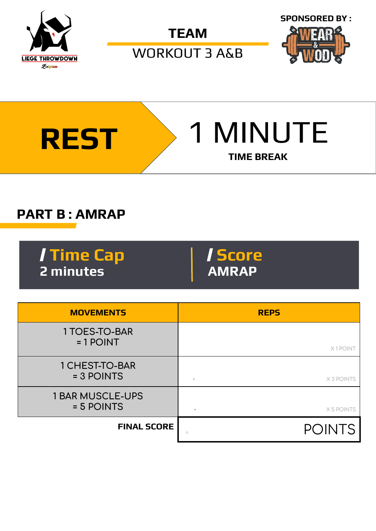

**TEAM**

WORKOUT 3 A&B





## **PART B : AMRAP**

/ **Time Cap** / **Score 2 minutes** 

| <b>MOVEMENTS</b>                      | <b>REPS</b>             |
|---------------------------------------|-------------------------|
| 1 TOES-TO-BAR<br>$= 1$ POINT          | X1POINT                 |
| 1 CHEST-TO-BAR<br>= 3 POINTS          | X 3 POINTS<br>$\ddot{}$ |
| <b>1 BAR MUSCLE-UPS</b><br>= 5 POINTS | X 5 POINTS<br>$^{+}$    |
| <b>FINAL SCORE</b>                    | <b>POINTS</b>           |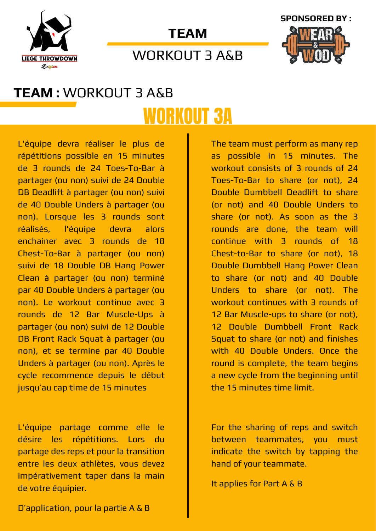





## WORKOUT 3 A&B

# **TEAM :** WORKOUT 3 A&B WORKOUT 3A

L'équipe devra réaliser le plus de répétitions possible en 15 minutes de 3 rounds de 24 Toes-To-Bar à partager (ou non) suivi de 24 Double DB Deadlift à partager (ou non) suivi de 40 Double Unders à partager (ou non). Lorsque les 3 rounds sont réalisés, l'équipe devra alors enchainer avec 3 rounds de 18 Chest-To-Bar à partager (ou non) suivi de 18 Double DB Hang Power Clean à partager (ou non) terminé par 40 Double Unders à partager (ou non). Le workout continue avec 3 rounds de 12 Bar Muscle-Ups à partager (ou non) suivi de 12 Double DB Front Rack Squat à partager (ou non), et se termine par 40 Double Unders à partager (ou non). Après le cycle recommence depuis le début jusqu'au cap time de 15 minutes

L'équipe partage comme elle le désire les répétitions. Lors du partage des reps et pour la transition entre les deux athlètes, vous devez impérativement taper dans la main de votre équipier.

The team must perform as many rep as possible in 15 minutes. The workout consists of 3 rounds of 24 Toes-To-Bar to share (or not), 24 Double Dumbbell Deadlift to share (or not) and 40 Double Unders to share (or not). As soon as the 3 rounds are done, the team will continue with 3 rounds of 18 Chest-to-Bar to share (or not), 18 Double Dumbbell Hang Power Clean to share (or not) and 40 Double Unders to share (or not). The workout continues with 3 rounds of 12 Bar Muscle-ups to share (or not), 12 Double Dumbbell Front Rack Squat to share (or not) and finishes with 40 Double Unders. Once the round is complete, the team begins a new cycle from the beginning until the 15 minutes time limit.

For the sharing of reps and switch between teammates, you must indicate the switch by tapping the hand of your teammate.

It applies for Part A & B

D'application, pour la partie A & B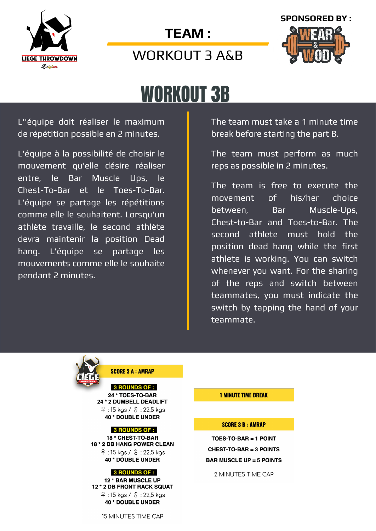





# WORKOUT 3B

L''équipe doit réaliser le maximum de répétition possible en 2 minutes.

L'équipe à la possibilité de choisir le mouvement qu'elle désire réaliser entre, le Bar Muscle Ups, le Chest-To-Bar et le Toes-To-Bar. L'équipe se partage les répétitions comme elle le souhaitent. Lorsqu'un athlète travaille, le second athlète devra maintenir la position Dead hang. L'équipe se partage les mouvements comme elle le souhaite pendant 2 minutes.

The team must take a 1 minute time break before starting the part B.

The team must perform as much reps as possible in 2 minutes.

The team is free to execute the movement of his/her choice between, Bar Muscle-Ups, Chest-to-Bar and Toes-to-Bar. The second athlete must hold the position dead hang while the first athlete is working. You can switch whenever you want. For the sharing of the reps and switch between teammates, you must indicate the switch by tapping the hand of your teammate.



**SCORE 3 A : AMRAP** 

**3 ROUNDS OF :** 24 \* TOES-TO-BAR 24 \* 2 DUMBELL DEADLIFT  $9:15$  kgs /  $3:22,5$  kgs 40 \* DOUBLE UNDER

#### **3 ROUNDS OF :**

18 \* CHEST-TO-BAR 18 \* 2 DB HANG POWER CLEAN  $9:15$  kgs /  $3:22,5$  kgs 40 \* DOUBLE UNDER

#### **3 ROUNDS OF :**

12 \* BAR MUSCLE UP 12 \* 2 DB FRONT RACK SQUAT  $9:15 \text{ kgs} / 3:22.5 \text{ kgs}$ 40 \* DOUBLE UNDER

#### 15 MINUTES TIME CAP

#### **1 MINUTE TIME BREAK**

#### **SCORE 3 B: AMRAP**

TOES-TO-BAR = 1 POINT **CHEST-TO-BAR = 3 POINTS BAR MUSCLE UP = 5 POINTS** 

2 MINUTES TIME CAP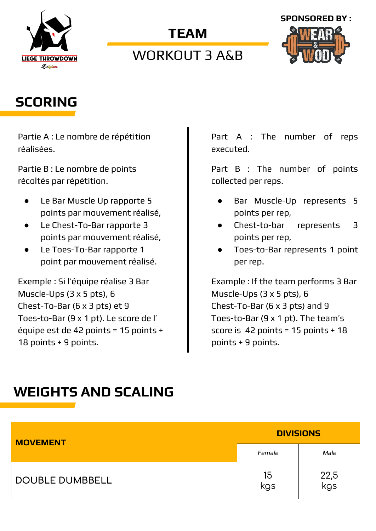

### **TEAM**

## WORKOUT 3 A&B



## **SCORING**

Partie A : Le nombre de répétition réalisées.

Partie B : Le nombre de points récoltés par répétition.

- Le Bar Muscle Up rapporte 5 points par mouvement réalisé,
- Le Chest-To-Bar rapporte 3 points par mouvement réalisé,
- Le Toes-To-Bar rapporte 1 point par mouvement réalisé.

Exemple : Si l'équipe réalise 3 Bar Muscle-Ups (3 x 5 pts), 6 Chest-To-Bar (6 x 3 pts) et 9 Toes-to-Bar (9 x 1 pt). Le score de l' équipe est de 42 points = 15 points + 18 points + 9 points.

Part A : The number of reps executed.

Part B : The number of points collected per reps.

- Bar Muscle-Up represents 5 points per rep,
- Chest-to-bar represents 3 points per rep,
- Toes-to-Bar represents 1 point per rep.

Example : If the team performs 3 Bar Muscle-Ups (3 x 5 pts), 6 Chest-To-Bar (6 x 3 pts) and 9 Toes-to-Bar (9 x 1 pt). The team's score is 42 points = 15 points + 18 points + 9 points.

## **WEIGHTS AND SCALING**

| <b>MOVEMENT</b>        | <b>DIVISIONS</b> |             |  |
|------------------------|------------------|-------------|--|
|                        | Female           | Male        |  |
| <b>DOUBLE DUMBBELL</b> | 15<br>kgs        | 22,5<br>kgs |  |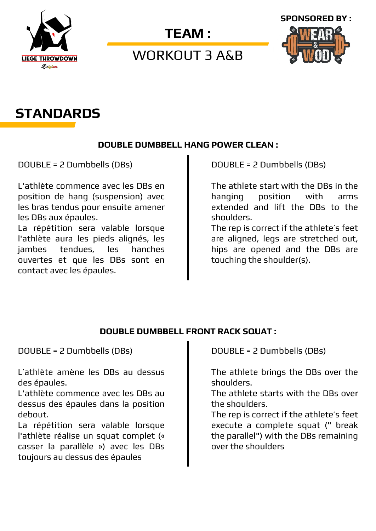

### WORKOUT 3 A&B



## **STANDARDS**

#### **DOUBLE DUMBBELL HANG POWER CLEAN :**

DOUBLE = 2 Dumbbells (DBs)

L'athlète commence avec les DBs en position de hang (suspension) avec les bras tendus pour ensuite amener les DBs aux épaules.

La répétition sera valable lorsque l'athlète aura les pieds alignés, les jambes tendues, les hanches ouvertes et que les DBs sont en contact avec les épaules.

DOUBLE = 2 Dumbbells (DBs)

The athlete start with the DBs in the hanging position with arms extended and lift the DBs to the shoulders.

The rep is correct if the athlete's feet are aligned, legs are stretched out, hips are opened and the DBs are touching the shoulder(s).

#### **DOUBLE DUMBBELL FRONT RACK SQUAT :**

DOUBLE = 2 Dumbbells (DBs)

L'athlète amène les DBs au dessus des épaules.

L'athlète commence avec les DBs au dessus des épaules dans la position debout.

La répétition sera valable lorsque l'athlète réalise un squat complet (« casser la parallèle ») avec les DBs toujours au dessus des épaules

DOUBLE = 2 Dumbbells (DBs)

The athlete brings the DBs over the shoulders.

The athlete starts with the DBs over the shoulders.

The rep is correct if the athlete's feet execute a complete squat (" break the parallel") with the DBs remaining over the shoulders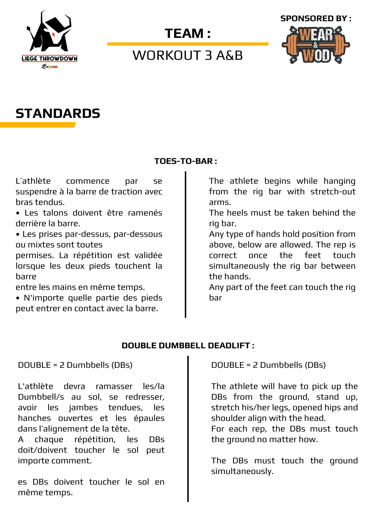

## WORKOUT 3 A&B



## **STANDARDS**

#### **TOES-TO-BAR :**

L'athlète commence par se suspendre à la barre de traction avec bras tendus.

• Les talons doivent être ramenés derrière la barre.

• Les prises par-dessus, par-dessous ou mixtes sont toutes

permises. La répétition est validée lorsque les deux pieds touchent la barre

entre les mains en même temps.

• N'importe quelle partie des pieds peut entrer en contact avec la barre.

The athlete begins while hanging from the rig bar with stretch-out arms.

The heels must be taken behind the rig bar.

Any type of hands hold position from above, below are allowed. The rep is correct once the feet touch simultaneously the rig bar between the hands.

Any part of the feet can touch the rig bar

#### **DOUBLE DUMBBELL DEADLIFT :**

DOUBLE = 2 Dumbbells (DBs)

L'athlète devra ramasser les/la Dumbbell/s au sol, se redresser, avoir les jambes tendues, les hanches ouvertes et les épaules dans l'alignement de la tête.

A chaque répétition, les DBs doit/doivent toucher le sol peut importe comment.

es DBs doivent toucher le sol en même temps.

DOUBLE = 2 Dumbbells (DBs)

The athlete will have to pick up the DBs from the ground, stand up, stretch his/her legs, opened hips and shoulder align with the head.

For each rep, the DBs must touch the ground no matter how.

The DBs must touch the ground simultaneously.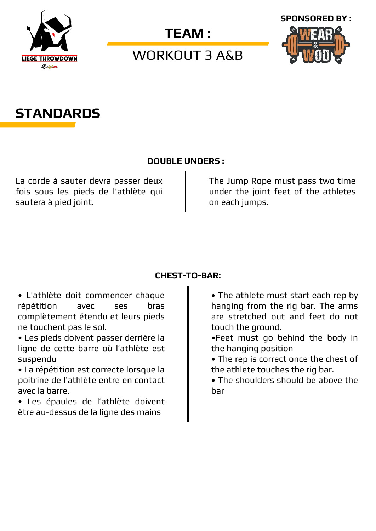

WORKOUT 3 A&B





#### **DOUBLE UNDERS :**

La corde à sauter devra passer deux fois sous les pieds de l'athlète qui sautera à pied joint.

The Jump Rope must pass two time under the joint feet of the athletes on each jumps.

#### **CHEST-TO-BAR:**

• L'athlète doit commencer chaque répétition avec ses bras complètement étendu et leurs pieds ne touchent pas le sol.

• Les pieds doivent passer derrière la ligne de cette barre où l'athlète est suspendu

• La répétition est correcte lorsque la poitrine de l'athlète entre en contact avec la barre.

• Les épaules de l'athlète doivent être au-dessus de la ligne des mains

• The athlete must start each rep by hanging from the rig bar. The arms are stretched out and feet do not touch the ground.

•Feet must go behind the body in the hanging position

• The rep is correct once the chest of the athlete touches the rig bar.

• The shoulders should be above the bar